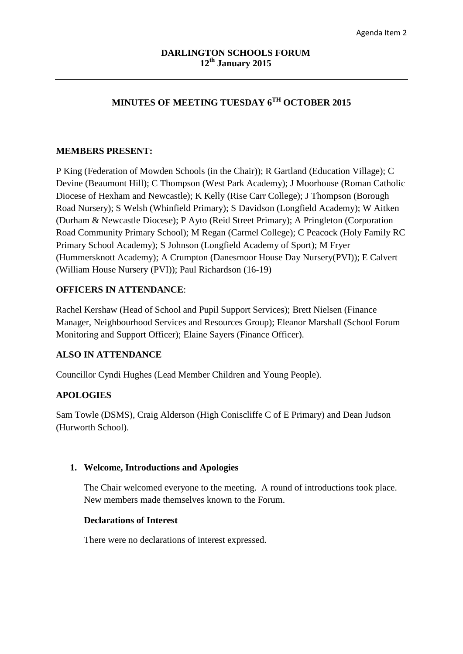# **MINUTES OF MEETING TUESDAY 6TH OCTOBER 2015**

### **MEMBERS PRESENT:**

P King (Federation of Mowden Schools (in the Chair)); R Gartland (Education Village); C Devine (Beaumont Hill); C Thompson (West Park Academy); J Moorhouse (Roman Catholic Diocese of Hexham and Newcastle); K Kelly (Rise Carr College); J Thompson (Borough Road Nursery); S Welsh (Whinfield Primary); S Davidson (Longfield Academy); W Aitken (Durham & Newcastle Diocese); P Ayto (Reid Street Primary); A Pringleton (Corporation Road Community Primary School); M Regan (Carmel College); C Peacock (Holy Family RC Primary School Academy); S Johnson (Longfield Academy of Sport); M Fryer (Hummersknott Academy); A Crumpton (Danesmoor House Day Nursery(PVI)); E Calvert (William House Nursery (PVI)); Paul Richardson (16-19)

### **OFFICERS IN ATTENDANCE**:

Rachel Kershaw (Head of School and Pupil Support Services); Brett Nielsen (Finance Manager, Neighbourhood Services and Resources Group); Eleanor Marshall (School Forum Monitoring and Support Officer); Elaine Sayers (Finance Officer).

### **ALSO IN ATTENDANCE**

Councillor Cyndi Hughes (Lead Member Children and Young People).

### **APOLOGIES**

Sam Towle (DSMS), Craig Alderson (High Coniscliffe C of E Primary) and Dean Judson (Hurworth School).

### **1. Welcome, Introductions and Apologies**

The Chair welcomed everyone to the meeting. A round of introductions took place. New members made themselves known to the Forum.

### **Declarations of Interest**

There were no declarations of interest expressed.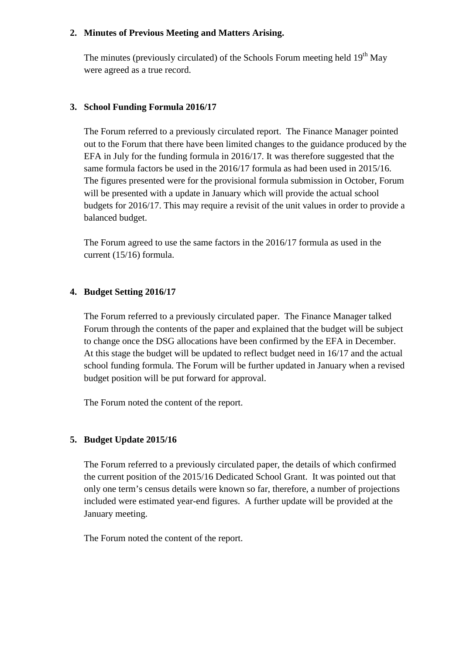### **2. Minutes of Previous Meeting and Matters Arising.**

The minutes (previously circulated) of the Schools Forum meeting held 19<sup>th</sup> May were agreed as a true record.

# **3. School Funding Formula 2016/17**

The Forum referred to a previously circulated report. The Finance Manager pointed out to the Forum that there have been limited changes to the guidance produced by the EFA in July for the funding formula in 2016/17. It was therefore suggested that the same formula factors be used in the 2016/17 formula as had been used in 2015/16. The figures presented were for the provisional formula submission in October, Forum will be presented with a update in January which will provide the actual school budgets for 2016/17. This may require a revisit of the unit values in order to provide a balanced budget.

The Forum agreed to use the same factors in the 2016/17 formula as used in the current (15/16) formula.

# **4. Budget Setting 2016/17**

The Forum referred to a previously circulated paper. The Finance Manager talked Forum through the contents of the paper and explained that the budget will be subject to change once the DSG allocations have been confirmed by the EFA in December. At this stage the budget will be updated to reflect budget need in 16/17 and the actual school funding formula. The Forum will be further updated in January when a revised budget position will be put forward for approval.

The Forum noted the content of the report.

# **5. Budget Update 2015/16**

The Forum referred to a previously circulated paper, the details of which confirmed the current position of the 2015/16 Dedicated School Grant. It was pointed out that only one term's census details were known so far, therefore, a number of projections included were estimated year-end figures. A further update will be provided at the January meeting.

The Forum noted the content of the report.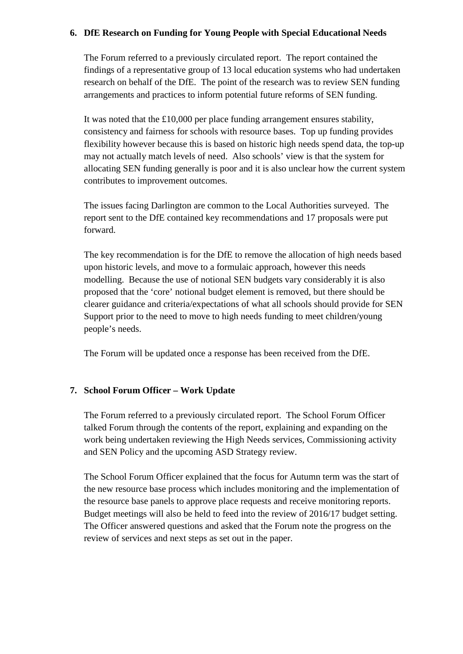### **6. DfE Research on Funding for Young People with Special Educational Needs**

The Forum referred to a previously circulated report. The report contained the findings of a representative group of 13 local education systems who had undertaken research on behalf of the DfE. The point of the research was to review SEN funding arrangements and practices to inform potential future reforms of SEN funding.

It was noted that the £10,000 per place funding arrangement ensures stability, consistency and fairness for schools with resource bases. Top up funding provides flexibility however because this is based on historic high needs spend data, the top-up may not actually match levels of need. Also schools' view is that the system for allocating SEN funding generally is poor and it is also unclear how the current system contributes to improvement outcomes.

The issues facing Darlington are common to the Local Authorities surveyed. The report sent to the DfE contained key recommendations and 17 proposals were put forward.

The key recommendation is for the DfE to remove the allocation of high needs based upon historic levels, and move to a formulaic approach, however this needs modelling. Because the use of notional SEN budgets vary considerably it is also proposed that the 'core' notional budget element is removed, but there should be clearer guidance and criteria/expectations of what all schools should provide for SEN Support prior to the need to move to high needs funding to meet children/young people's needs.

The Forum will be updated once a response has been received from the DfE.

# **7. School Forum Officer – Work Update**

The Forum referred to a previously circulated report. The School Forum Officer talked Forum through the contents of the report, explaining and expanding on the work being undertaken reviewing the High Needs services, Commissioning activity and SEN Policy and the upcoming ASD Strategy review.

The School Forum Officer explained that the focus for Autumn term was the start of the new resource base process which includes monitoring and the implementation of the resource base panels to approve place requests and receive monitoring reports. Budget meetings will also be held to feed into the review of 2016/17 budget setting. The Officer answered questions and asked that the Forum note the progress on the review of services and next steps as set out in the paper.